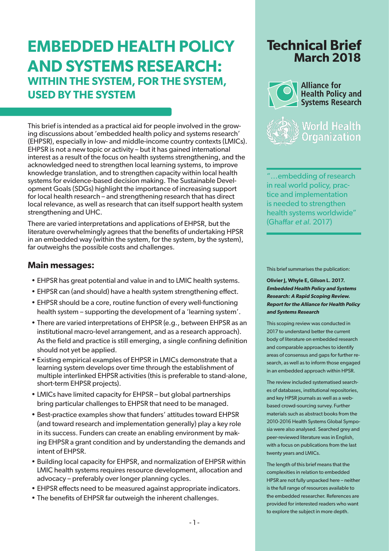# **EMBEDDED HEALTH POLICY AND SYSTEMS RESEARCH: WITHIN THE SYSTEM, FOR THE SYSTEM, USED BY THE SYSTEM**

This brief is intended as a practical aid for people involved in the growing discussions about 'embedded health policy and systems research' (EHPSR), especially in low- and middle-income country contexts (LMICs). EHPSR is not a new topic or activity – but it has gained international interest as a result of the focus on health systems strengthening, and the acknowledged need to strengthen local learning systems, to improve knowledge translation, and to strengthen capacity within local health systems for evidence-based decision making. The Sustainable Development Goals (SDGs) highlight the importance of increasing support for local health research – and strengthening research that has direct local relevance, as well as research that can itself support health system strengthening and UHC.

There are varied interpretations and applications of EHPSR, but the literature overwhelmingly agrees that the benefits of undertaking HPSR in an embedded way (within the system, for the system, by the system), far outweighs the possible costs and challenges.

## **Main messages:**

- EHPSR has great potential and value in and to LMIC health systems.
- EHPSR can (and should) have a health system strengthening effect.
- EHPSR should be a core, routine function of every well-functioning health system – supporting the development of a 'learning system'.
- There are varied interpretations of EHPSR (e.g., between EHPSR as an institutional macro-level arrangement, and as a research approach). As the field and practice is still emerging, a single confining definition should not yet be applied.
- Existing empirical examples of EHPSR in LMICs demonstrate that a learning system develops over time through the establishment of multiple interlinked EHPSR activities (this is preferable to stand-alone, short-term EHPSR projects).
- LMICs have limited capacity for EHPSR but global partnerships bring particular challenges to EHPSR that need to be managed.
- Best-practice examples show that funders' attitudes toward EHPSR (and toward research and implementation generally) play a key role in its success. Funders can create an enabling environment by making EHPSR a grant condition and by understanding the demands and intent of EHPSR.
- Building local capacity for EHPSR, and normalization of EHPSR within LMIC health systems requires resource development, allocation and advocacy – preferably over longer planning cycles.
- EHPSR effects need to be measured against appropriate indicators.
- The benefits of EHPSR far outweigh the inherent challenges.

# **Technical Brief March 2018**



"…embedding of research in real world policy, practice and implementation is needed to strengthen health systems worldwide" (Ghaffar et al. 2017)

This brief summarises the publication:

**Olivier J, Whyle E, Gilson L. 2017. Embedded Health Policy and Systems Research: A Rapid Scoping Review. Report for the Alliance for Health Policy and Systems Research**

This scoping review was conducted in 2017 to understand better the current body of literature on embedded research and comparable approaches to identify areas of consensus and gaps for further research, as well as to inform those engaged in an embedded approach within HPSR.

The review included systematised searches of databases, institutional repositories, and key HPSR journals as well as a webbased crowd-sourcing survey. Further materials such as abstract books from the 2010-2016 Health Systems Global Symposia were also analysed. Searched grey and peer-reviewed literature was in English, with a focus on publications from the last twenty years and LMICs.

The length of this brief means that the complexities in relation to embedded HPSR are not fully unpacked here – neither is the full range of resources available to the embedded researcher. References are provided for interested readers who want to explore the subject in more depth.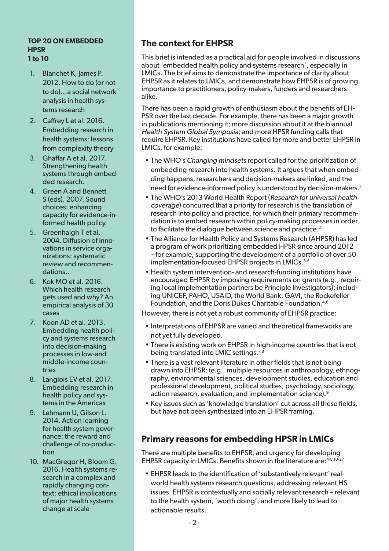#### **TOP 20 ON EMBEDDED HPSR 1 to 10**

- 1. Blanchet K, James P. 2012. How to do (or not to do)…a social network analysis in health systems research
- 2. Caffrey L et al. 2016. Embedding research in health systems: lessons from complexity theory
- 3. Ghaffar A et al. 2017. Strengthening health systems through embedded research.
- 4. Green A and Bennett S (eds). 2007. Sound choices: enhancing capacity for evidence-informed health policy.
- 5. Greenhalgh T et al. 2004. Diffusion of innovations in service organizations: systematic review and recommendations..
- 6. Kok MO et al. 2016. Which health research gets used and why? An empirical analysis of 30 cases
- 7. Koon AD et al. 2013. Embedding health policy and systems research into decision-making processes in low-and middle-income countries
- 8. Langlois EV et al. 2017. Embedding research in health policy and systems in the Americas
- 9. Lehmann U, Gilson L. 2014. Action learning for health system governance: the reward and challenge of co-production
- 10. MacGregor H, Bloom G. 2016. Health systems research in a complex and rapidly changing context: ethical implications of major health systems change at scale

## **The context for EHPSR**

This brief is intended as a practical aid for people involved in discussions about 'embedded health policy and systems research', especially in LMICs. The brief aims to demonstrate the importance of clarity about EHPSR as it relates to LMICs, and demonstrate how EHPSR is of growing importance to practitioners, policy-makers, funders and researchers alike.

There has been a rapid growth of enthusiasm about the benefits of EH-PSR over the last decade. For example, there has been a major growth in publications mentioning it; more discussion about it at the biannual Health System Global Symposia; and more HPSR funding calls that require EHPSR. Key institutions have called for more and better EHPSR in LMICs, for example:

- The WHO's Changing mindsets report called for the prioritization of embedding research into health systems. It argues that when embedding happens, researchers and decision-makers are linked, and the need for evidence-informed policy is understood by decision-makers.<sup>1</sup>
- The WHO's 2013 World Health Report (Research for universal health coverage) concurred that a priority for research is the translation of research into policy and practice, for which their primary recommendation is to embed research within policy-making processes in order to facilitate the dialogue between science and practice.<sup>2</sup>
- The Alliance for Health Policy and Systems Research (AHPSR) has led a program of work prioritizing embedded HPSR since around 2012 – for example, supporting the development of a portfolio of over 50 implementation-focused EHPSR projects in LMICs.<sup>3-5</sup>
- Health system intervention- and research-funding institutions have encouraged EHPSR by imposing requirements on grants (e.g., requiring local implementation partners be Principle Investigators); including UNICEF, PAHO, USAID, the World Bank, GAVI, the Rockefeller Foundation, and the Doris Dukes Charitable Foundation.<sup>4,6</sup>

However, there is not yet a robust community of EHPSR practice:

- Interpretations of EHPSR are varied and theoretical frameworks are not yet fully developed.
- There is existing work on EHPSR in high-income countries that is not being translated into LMIC settings.7,8
- There is a vast relevant literature in other fields that is not being drawn into EHPSR: (e.g., multiple resources in anthropology, ethnography, environmental sciences, development studies, education and professional development, political studies, psychology, sociology, action research, evaluation, and implementation science).<sup>9</sup>
- Key issues such as 'knowledge translation' cut across all these fields, but have not been synthesized into an EHPSR framing.

## **Primary reasons for embedding HPSR in LMICs**

There are multiple benefits to EHPSR, and urgency for developing EHPSR capacity in LMICs. Benefits shown in the literature are: 4-8,10-27

• EHPSR leads to the identification of 'substantively relevant' realworld health systems research questions, addressing relevant HS issues. EHPSR is contextually and socially relevant research – relevant to the health system, 'worth doing', and more likely to lead to actionable results.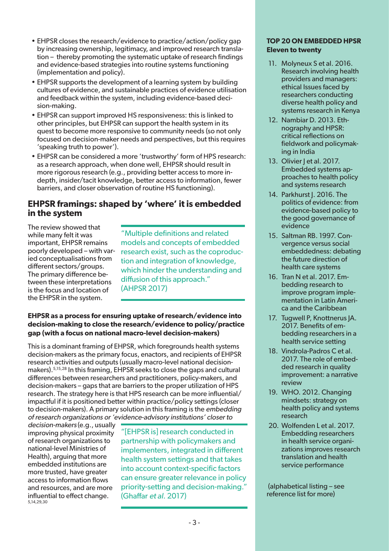- EHPSR closes the research/evidence to practice/action/policy gap by increasing ownership, legitimacy, and improved research translation – thereby promoting the systematic uptake of research findings and evidence-based strategies into routine systems functioning (implementation and policy).
- EHPSR supports the development of a learning system by building cultures of evidence, and sustainable practices of evidence utilisation and feedback within the system, including evidence-based decision-making.
- EHPSR can support improved HS responsiveness: this is linked to other principles, but EHPSR can support the health system in its quest to become more responsive to community needs (so not only focused on decision-maker needs and perspectives, but this requires 'speaking truth to power').
- EHPSR can be considered a more 'trustworthy' form of HPS research: as a research approach, when done well, EHPSR should result in more rigorous research (e.g., providing better access to more indepth, insider/tacit knowledge, better access to information, fewer barriers, and closer observation of routine HS functioning).

## **EHPSR framings: shaped by 'where' it is embedded in the system**

The review showed that while many felt it was important, EHPSR remains poorly developed – with varied conceptualisations from different sectors/groups. The primary difference between these interpretations is the focus and location of the EHPSR in the system.

"Multiple definitions and related models and concepts of embedded research exist, such as the coproduction and integration of knowledge, which hinder the understanding and diffusion of this approach." (AHPSR 2017)

### **EHPSR as a process for ensuring uptake of research/evidence into decision-making to close the research/evidence to policy/practice gap (with a focus on national macro-level decision-makers)**

This is a dominant framing of EHPSR, which foregrounds health systems decision-makers as the primary focus, enactors, and recipients of EHPSR research activities and outputs (usually macro-level national decisionmakers).5,15,28 In this framing, EHPSR seeks to close the gaps and cultural differences between researchers and practitioners, policy-makers, and decision-makers – gaps that are barriers to the proper utilization of HPS research. The strategy here is that HPS research can be more influential/ impactful if it is positioned better within practice/policy settings (closer to decision-makers). A primary solution in this framing is the embedding of research organizations or 'evidence-advisory institutions' closer to

decision-makers (e.g., usually improving physical proximity of research organizations to national-level Ministries of Health), arguing that more embedded institutions are more trusted, have greater access to information flows and resources, and are more influential to effect change. 5,14,29,30

"[EHPSR is] research conducted in partnership with policymakers and implementers, integrated in different health system settings and that takes into account context-specific factors can ensure greater relevance in policy priority-setting and decision-making." (Ghaffar et al. 2017)

#### **TOP 20 ON EMBEDDED HPSR Eleven to twenty**

- 11. Molyneux S et al. 2016. Research involving health providers and managers: ethical Issues faced by researchers conducting diverse health policy and systems research in Kenya
- 12. Nambiar D. 2013. Ethnography and HPSR: critical reflections on fieldwork and policymaking in India
- 13. Olivier J et al. 2017. Embedded systems approaches to health policy and systems research
- 14. Parkhurst I. 2016. The politics of evidence: from evidence-based policy to the good governance of evidence
- 15. Saltman RB. 1997. Convergence versus social embeddedness: debating the future direction of health care systems
- 16. Tran N et al. 2017. Embedding research to improve program implementation in Latin America and the Caribbean
- 17. Tugwell P, Knottnerus JA. 2017. Benefits of embedding researchers in a health service setting
- 18. Vindrola-Padros C et al. 2017. The role of embedded research in quality improvement: a narrative review
- 19. WHO. 2012. Changing mindsets: strategy on health policy and systems research
- 20. Wolfenden L et al. 2017. Embedding researchers in health service organizations improves research translation and health service performance

 (alphabetical listing – see reference list for more)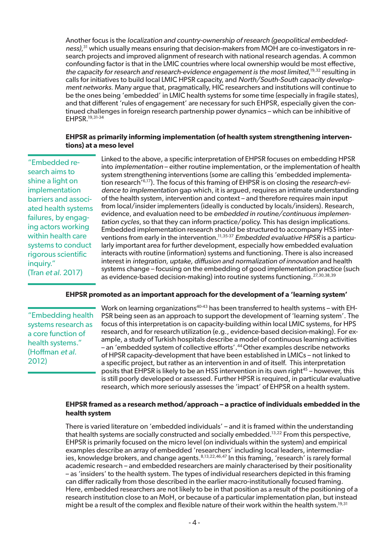Another focus is the localization and country-ownership of research (geopolitical embeddedness),<sup>31</sup> which usually means ensuring that decision-makers from MOH are co-investigators in research projects and improved alignment of research with national research agendas. A common confounding factor is that in the LMIC countries where local ownership would be most effective, the capacity for research and research-evidence engagement is the most limited,<sup>19,32</sup> resulting in calls for initiatives to build local LMIC HPSR capacity, and North/South-South capacity development networks. Many argue that, pragmatically, HIC researchers and institutions will continue to be the ones being 'embedded' in LMIC health systems for some time (especially in fragile states), and that different 'rules of engagement' are necessary for such EHPSR, especially given the continued challenges in foreign research partnership power dynamics – which can be inhibitive of EHPSR.19,31-34

#### **EHPSR as primarily informing implementation (of health system strengthening interventions) at a meso level**

"Embedded research aims to shine a light on implementation barriers and associated health systems failures, by engaging actors working within health care systems to conduct rigorous scientific inquiry." (Tran et al. 2017)

Linked to the above, a specific interpretation of EHPSR focuses on embedding HPSR into implementation – either routine implementation, or the implementation of health system strengthening interventions (some are calling this 'embedded implementation research'6,17). The focus of this framing of EHPSR is on closing the research-evidence to implementation gap which, it is argued, requires an intimate understanding of the health system, intervention and context – and therefore requires main input from local/insider implementers (ideally is conducted by locals/insiders). Research, evidence, and evaluation need to be embedded in routine/continuous implementation cycles, so that they can inform practice/policy. This has design implications. Embedded implementation research should be structured to accompany HSS interventions from early in the intervention.<sup>11,35-37</sup> Embedded evaluative HPSR is a particularly important area for further development, especially how embedded evaluation interacts with routine (information) systems and functioning. There is also increased interest in integration, uptake, diffusion and normalization of innovation and health systems change – focusing on the embedding of good implementation practice (such as evidence-based decision-making) into routine systems functioning.<sup>27,30,38,39</sup>

#### **EHPSR promoted as an important approach for the development of a 'learning system'**

"Embedding health systems research as a core function of health systems." (Hoffman et al. 2012)

Work on learning organizations<sup>40-43</sup> has been transferred to health systems – with EH-PSR being seen as an approach to support the development of 'learning system'. The focus of this interpretation is on capacity-building within local LMIC systems, for HPS research, and for research utilization (e.g., evidence-based decision-making). For example, a study of Turkish hospitals describe a model of continuous learning activities – an 'embedded system of collective efforts'.44 Other examples describe networks of HPSR capacity-development that have been established in LMICs – not linked to a specific project, but rather as an intervention in and of itself. This interpretation posits that EHPSR is likely to be an HSS intervention in its own right<sup>45</sup> – however, this is still poorly developed or assessed. Further HPSR is required, in particular evaluative research, which more seriously assesses the 'impact' of EHPSR on a health system.

#### **EHPSR framed as a research method/approach – a practice of individuals embedded in the health system**

There is varied literature on 'embedded individuals' – and it is framed within the understanding that health systems are socially constructed and socially embedded.<sup>13,22</sup> From this perspective, EHPSR is primarily focused on the micro level (on individuals within the system) and empirical examples describe an array of embedded 'researchers' including local leaders, intermediaries, knowledge brokers, and change agents.<sup>8,13,22,46,47</sup> In this framing, 'research' is rarely formal academic research – and embedded researchers are mainly characterised by their positionality – as 'insiders' to the health system. The types of individual researchers depicted in this framing can differ radically from those described in the earlier macro-institutionally focused framing. Here, embedded researchers are not likely to be in that position as a result of the positioning of a research institution close to an MoH, or because of a particular implementation plan, but instead might be a result of the complex and flexible nature of their work within the health system.<sup>19,31</sup>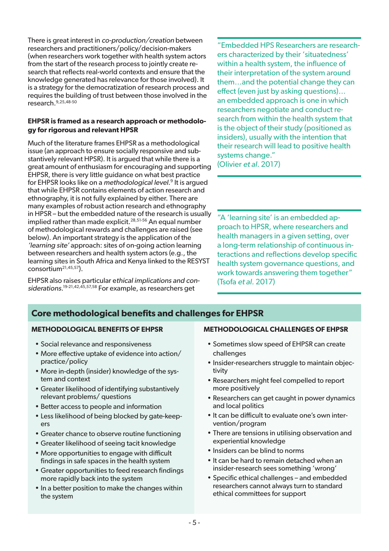There is great interest in co-production/creation between researchers and practitioners/policy/decision-makers (when researchers work together with health system actors from the start of the research process to jointly create research that reflects real-world contexts and ensure that the knowledge generated has relevance for those involved). It is a strategy for the democratization of research process and requires the building of trust between those involved in the research.9,25,48-50

### **EHPSR is framed as a research approach or methodology for rigorous and relevant HPSR**

Much of the literature frames EHPSR as a methodological issue (an approach to ensure socially responsive and substantively relevant HPSR). It is argued that while there is a great amount of enthusiasm for encouraging and supporting EHPSR, there is very little guidance on what best practice for EHPSR looks like on a methodological level. 9 It is argued that while EHPSR contains elements of action research and ethnography, it is not fully explained by either. There are many examples of robust action research and ethnography in HPSR – but the embedded nature of the research is usually implied rather than made explicit.<sup>28,51-56</sup> An equal number of methodological rewards and challenges are raised (see below). An important strategy is the application of the 'learning site' approach: sites of on-going action learning between researchers and health system actors (e.g., the learning sites in South Africa and Kenya linked to the RESYST consortium21,45,57).

EHPSR also raises particular ethical implications and considerations.<sup>19-21,42,45,57,58</sup> For example, as researchers get

"Embedded HPS Researchers are researchers characterized by their 'situatedness' within a health system, the influence of their interpretation of the system around them…and the potential change they can effect (even just by asking questions)… an embedded approach is one in which researchers negotiate and conduct research from within the health system that is the object of their study (positioned as insiders), usually with the intention that their research will lead to positive health systems change." (Olivier et al. 2017)

"A 'learning site' is an embedded approach to HPSR, where researchers and health managers in a given setting, over a long-term relationship of continuous interactions and reflections develop specific health system governance questions, and work towards answering them together" (Tsofa et al. 2017)

## **Core methodological benefits and challenges for EHPSR**

#### **METHODOLOGICAL BENEFITS OF EHPSR**

- Social relevance and responsiveness
- More effective uptake of evidence into action/ practice/policy
- More in-depth (insider) knowledge of the system and context
- Greater likelihood of identifying substantively relevant problems/ questions
- Better access to people and information
- Less likelihood of being blocked by gate-keepers
- Greater chance to observe routine functioning
- Greater likelihood of seeing tacit knowledge
- More opportunities to engage with difficult findings in safe spaces in the health system
- Greater opportunities to feed research findings more rapidly back into the system
- In a better position to make the changes within the system

#### **METHODOLOGICAL CHALLENGES OF EHPSR**

- Sometimes slow speed of EHPSR can create challenges
- Insider-researchers struggle to maintain objectivity
- Researchers might feel compelled to report more positively
- Researchers can get caught in power dynamics and local politics
- It can be difficult to evaluate one's own intervention/program
- There are tensions in utilising observation and experiential knowledge
- Insiders can be blind to norms
- It can be hard to remain detached when an insider-research sees something 'wrong'
- Specific ethical challenges and embedded researchers cannot always turn to standard ethical committees for support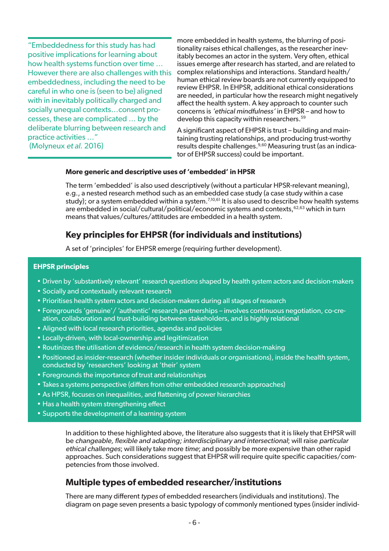"Embeddedness for this study has had positive implications for learning about how health systems function over time … However there are also challenges with this embeddedness, including the need to be careful in who one is (seen to be) aligned with in inevitably politically charged and socially unequal contexts…consent processes, these are complicated … by the deliberate blurring between research and practice activities …" (Molyneux et al. 2016)

more embedded in health systems, the blurring of positionality raises ethical challenges, as the researcher inevitably becomes an actor in the system. Very often, ethical issues emerge after research has started, and are related to complex relationships and interactions. Standard health/ human ethical review boards are not currently equipped to review EHPSR. In EHPSR, additional ethical considerations are needed, in particular how the research might negatively affect the health system. A key approach to counter such concerns is 'ethical mindfulness' in EHPSR – and how to develop this capacity within researchers.<sup>59</sup>

A significant aspect of EHPSR is trust – building and maintaining trusting relationships, and producing trust-worthy results despite challenges.9,60 Measuring trust (as an indicator of EHPSR success) could be important.

#### **More generic and descriptive uses of 'embedded' in HPSR**

The term 'embedded' is also used descriptively (without a particular HPSR-relevant meaning), e.g., a nested research method such as an embedded case study (a case study within a case study); or a system embedded within a system.<sup>7,10,61</sup> It is also used to describe how health systems are embedded in social/cultural/political/economic systems and contexts,<sup>62,63</sup> which in turn means that values/cultures/attitudes are embedded in a health system.

## **Key principles for EHPSR (for individuals and institutions)**

A set of 'principles' for EHPSR emerge (requiring further development).

#### **EHPSR principles**

- Driven by 'substantively relevant' research questions shaped by health system actors and decision-makers
- Socially and contextually relevant research
- Prioritises health system actors and decision-makers during all stages of research
- Foregrounds 'genuine'/ 'authentic' research partnerships involves continuous negotiation, co-creation, collaboration and trust-building between stakeholders, and is highly relational
- Aligned with local research priorities, agendas and policies
- Locally-driven, with local-ownership and legitimization
- Routinizes the utilisation of evidence/research in health system decision-making
- Positioned as insider-research (whether insider individuals or organisations), inside the health system, conducted by 'researchers' looking at 'their' system
- Foregrounds the importance of trust and relationships
- Takes a systems perspective (differs from other embedded research approaches)
- As HPSR, focuses on inequalities, and flattening of power hierarchies
- Has a health system strengthening effect
- Supports the development of a learning system

In addition to these highlighted above, the literature also suggests that it is likely that EHPSR will be changeable, flexible and adapting; interdisciplinary and intersectional; will raise particular ethical challenges; will likely take more time; and possibly be more expensive than other rapid approaches. Such considerations suggest that EHPSR will require quite specific capacities/competencies from those involved.

## **Multiple types of embedded researcher/institutions**

There are many different types of embedded researchers (individuals and institutions). The diagram on page seven presents a basic typology of commonly mentioned types (insider individ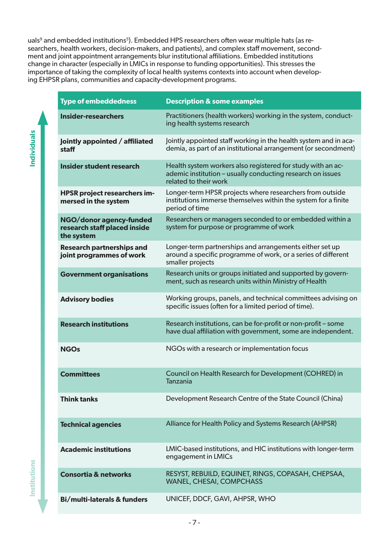uals<sup>9</sup> and embedded institutions<sup>5</sup>). Embedded HPS researchers often wear multiple hats (as researchers, health workers, decision-makers, and patients), and complex staff movement, secondment and joint appointment arrangements blur institutional affiliations. Embedded institutions change in character (especially in LMICs in response to funding opportunities). This stresses the importance of taking the complexity of local health systems contexts into account when developing EHPSR plans, communities and capacity-development programs.

| <b>Type of embeddedness</b>                                           | <b>Description &amp; some examples</b>                                                                                                             |
|-----------------------------------------------------------------------|----------------------------------------------------------------------------------------------------------------------------------------------------|
| <b>Insider-researchers</b>                                            | Practitioners (health workers) working in the system, conduct-<br>ing health systems research                                                      |
| Jointly appointed / affiliated<br>staff                               | Jointly appointed staff working in the health system and in aca-<br>demia, as part of an institutional arrangement (or secondment)                 |
| Insider student research                                              | Health system workers also registered for study with an ac-<br>ademic institution - usually conducting research on issues<br>related to their work |
| <b>HPSR project researchers im-</b><br>mersed in the system           | Longer-term HPSR projects where researchers from outside<br>institutions immerse themselves within the system for a finite<br>period of time       |
| NGO/donor agency-funded<br>research staff placed inside<br>the system | Researchers or managers seconded to or embedded within a<br>system for purpose or programme of work                                                |
| <b>Research partnerships and</b><br>joint programmes of work          | Longer-term partnerships and arrangements either set up<br>around a specific programme of work, or a series of different<br>smaller projects       |
| <b>Government organisations</b>                                       | Research units or groups initiated and supported by govern-<br>ment, such as research units within Ministry of Health                              |
| <b>Advisory bodies</b>                                                | Working groups, panels, and technical committees advising on<br>specific issues (often for a limited period of time).                              |
| <b>Research institutions</b>                                          | Research institutions, can be for-profit or non-profit - some<br>have dual affiliation with government, some are independent.                      |
| <b>NGOs</b>                                                           | NGOs with a research or implementation focus                                                                                                       |
| <b>Committees</b>                                                     | Council on Health Research for Development (COHRED) in<br><b>Tanzania</b>                                                                          |
| <b>Think tanks</b>                                                    | Development Research Centre of the State Council (China)                                                                                           |
| <b>Technical agencies</b>                                             | Alliance for Health Policy and Systems Research (AHPSR)                                                                                            |
| <b>Academic institutions</b>                                          | LMIC-based institutions, and HIC institutions with longer-term<br>engagement in LMICs                                                              |
| <b>Consortia &amp; networks</b>                                       | RESYST, REBUILD, EQUINET, RINGS, COPASAH, CHEPSAA,<br><b>WANEL, CHESAI, COMPCHASS</b>                                                              |
| <b>Bi/multi-laterals &amp; funders</b>                                | UNICEF, DDCF, GAVI, AHPSR, WHO                                                                                                                     |

**Individuals Institutions Individuals**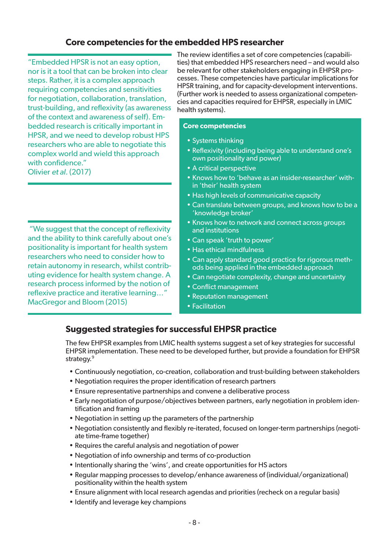## **Core competencies for the embedded HPS researcher**

"Embedded HPSR is not an easy option, nor is it a tool that can be broken into clear steps. Rather, it is a complex approach requiring competencies and sensitivities for negotiation, collaboration, translation, trust-building, and reflexivity (as awareness of the context and awareness of self). Embedded research is critically important in HPSR, and we need to develop robust HPS researchers who are able to negotiate this complex world and wield this approach with confidence." Olivier et al. (2017)

 "We suggest that the concept of reflexivity and the ability to think carefully about one's positionality is important for health system researchers who need to consider how to retain autonomy in research, whilst contributing evidence for health system change. A research process informed by the notion of reflexive practice and iterative learning…" MacGregor and Bloom (2015)

The review identifies a set of core competencies (capabilities) that embedded HPS researchers need – and would also be relevant for other stakeholders engaging in EHPSR processes. These competencies have particular implications for HPSR training, and for capacity-development interventions. (Further work is needed to assess organizational competencies and capacities required for EHPSR, especially in LMIC health systems).

#### **Core competencies**

- Systems thinking
- Reflexivity (including being able to understand one's own positionality and power)
- A critical perspective
- Knows how to 'behave as an insider-researcher' within 'their' health system
- Has high levels of communicative capacity
- Can translate between groups, and knows how to be a 'knowledge broker'
- Knows how to network and connect across groups and institutions
- Can speak 'truth to power'
- Has ethical mindfulness
- Can apply standard good practice for rigorous methods being applied in the embedded approach
- Can negotiate complexity, change and uncertainty
- Conflict management
- Reputation management
- Facilitation

## **Suggested strategies for successful EHPSR practice**

The few EHPSR examples from LMIC health systems suggest a set of key strategies for successful EHPSR implementation. These need to be developed further, but provide a foundation for EHPSR strategy.<sup>9</sup>

- Continuously negotiation, co-creation, collaboration and trust-building between stakeholders
- Negotiation requires the proper identification of research partners
- Ensure representative partnerships and convene a deliberative process
- Early negotiation of purpose/objectives between partners, early negotiation in problem identification and framing
- Negotiation in setting up the parameters of the partnership
- Negotiation consistently and flexibly re-iterated, focused on longer-term partnerships (negotiate time-frame together)
- Requires the careful analysis and negotiation of power
- Negotiation of info ownership and terms of co-production
- Intentionally sharing the 'wins', and create opportunities for HS actors
- Regular mapping processes to develop/enhance awareness of (individual/organizational) positionality within the health system
- Ensure alignment with local research agendas and priorities (recheck on a regular basis)
- Identify and leverage key champions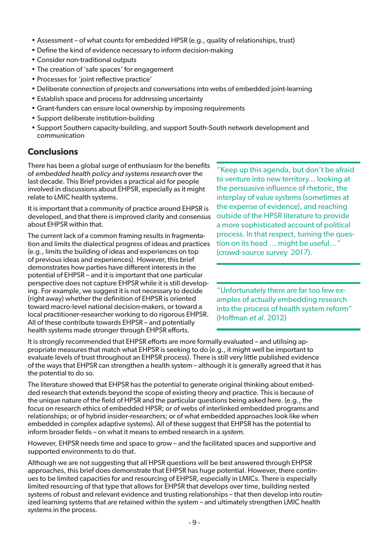- Assessment of what counts for embedded HPSR (e.g., quality of relationships, trust)
- Define the kind of evidence necessary to inform decision-making
- Consider non-traditional outputs
- The creation of 'safe spaces' for engagement
- Processes for 'joint reflective practice'
- Deliberate connection of projects and conversations into webs of embedded joint-learning
- Establish space and process for addressing uncertainty
- Grant-funders can ensure local ownership by imposing requirements
- Support deliberate institution-building
- Support Southern capacity-building, and support South-South network development and communication

## **Conclusions**

There has been a global surge of enthusiasm for the benefits of embedded health policy and systems research over the last decade. This Brief provides a practical aid for people involved in discussions about EHPSR, especially as it might relate to LMIC health systems.

It is important that a community of practice around EHPSR is developed, and that there is improved clarity and consensus about EHPSR within that.

The current lack of a common framing results in fragmentation and limits the dialectical progress of ideas and practices (e.g., limits the building of ideas and experiences on top of previous ideas and experiences). However, this brief demonstrates how parties have different interests in the potential of EHPSR – and it is important that one particular perspective does not capture EHPSR while it is still developing. For example, we suggest it is not necessary to decide (right away) whether the definition of EHPSR is oriented toward macro-level national decision-makers, or toward a local practitioner-researcher working to do rigorous EHPSR. All of these contribute towards EHPSR – and potentially health systems made stronger through EHPSR efforts.

"Keep up this agenda, but don't be afraid to venture into new territory... looking at the persuasive influence of rhetoric, the interplay of value systems (sometimes at the expense of evidence), and reaching outside of the HPSR literature to provide a more sophisticated account of political process. In that respect, turning the question on its head … might be useful…" (crowd-source survey 2017).

"Unfortunately there are far too few examples of actually embedding research into the process of health system reform" (Hoffman et al. 2012)

It is strongly recommended that EHPSR efforts are more formally evaluated – and utilising appropriate measures that match what EHPSR is seeking to do (e.g., it might well be important to evaluate levels of trust throughout an EHPSR process). There is still very little published evidence of the ways that EHPSR can strengthen a health system – although it is generally agreed that it has the potential to do so.

The literature showed that EHPSR has the potential to generate original thinking about embedded research that extends beyond the scope of existing theory and practice. This is because of the unique nature of the field of HPSR and the particular questions being asked here. (e.g., the focus on research ethics of embedded HPSR; or of webs of interlinked embedded programs and relationships; or of hybrid insider-researchers; or of what embedded approaches look like when embedded in complex adaptive systems). All of these suggest that EHPSR has the potential to inform broader fields – on what it means to embed research in a system.

However, EHPSR needs time and space to grow – and the facilitated spaces and supportive and supported environments to do that.

Although we are not suggesting that all HPSR questions will be best answered through EHPSR approaches, this brief does demonstrate that EHPSR has huge potential. However, there continues to be limited capacities for and resourcing of EHPSR, especially in LMICs. There is especially limited resourcing of that type that allows for EHPSR that develops over time, building nested systems of robust and relevant evidence and trusting relationships – that then develop into routinized learning systems that are retained within the system – and ultimately strengthen LMIC health systems in the process.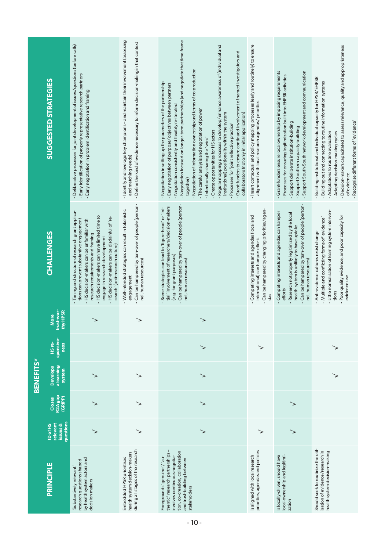|                                                                                                                                                                                   |                                                      |                                          | <b>BENEFITS*</b>                        |                                    |                                |                                                                                                                                                                                                                                                                                                                                                   |                                                                                                                                                                                                                                                                                                                                                                                                                                                                                                                                                                                                                                                                                                                                                                                        |
|-----------------------------------------------------------------------------------------------------------------------------------------------------------------------------------|------------------------------------------------------|------------------------------------------|-----------------------------------------|------------------------------------|--------------------------------|---------------------------------------------------------------------------------------------------------------------------------------------------------------------------------------------------------------------------------------------------------------------------------------------------------------------------------------------------|----------------------------------------------------------------------------------------------------------------------------------------------------------------------------------------------------------------------------------------------------------------------------------------------------------------------------------------------------------------------------------------------------------------------------------------------------------------------------------------------------------------------------------------------------------------------------------------------------------------------------------------------------------------------------------------------------------------------------------------------------------------------------------------|
| PRINCIPLE                                                                                                                                                                         | questions<br><b>ID of HS</b><br>relevant<br>issues & | R <sub>2A</sub> gap<br>(GRIPP)<br>Closes | a learning<br><b>Develops</b><br>system | sponsive-<br>HS re-<br><b>ness</b> | trust-wor-<br>thy HPSR<br>More | CHALLENGES                                                                                                                                                                                                                                                                                                                                        | <b>SUGGESTED STRATEGIES</b>                                                                                                                                                                                                                                                                                                                                                                                                                                                                                                                                                                                                                                                                                                                                                            |
| by health system actors and<br>research questions shaped<br>Substantively relevant'<br>decision-makers                                                                            | >                                                    |                                          |                                         |                                    |                                | Timing and structure of research grant applica-<br>HS decision-makers can have limited time to<br>HS decision-makers can be disdainful of 're-<br>tions can prevent substantive engagement<br>HS decision-makers can be unfamiliar with<br>research requirements and framing<br>engage in research development<br>search' (anti-research culture) | Deliberative processes for joint development of issues/questions (before calls)<br>Early identification of properly representative research partners<br>Early negotiation in problem identification and framing                                                                                                                                                                                                                                                                                                                                                                                                                                                                                                                                                                        |
| during all stages of the research<br>health system decision-makers<br>Embedded HPSR prioritises                                                                                   | $\!>\,$                                              | ≻                                        | >                                       |                                    | >                              | Can be hampered by turn-over of people (person-<br>Well-intended strategies can result in tokenistic<br>nel, human resources)<br>engagement                                                                                                                                                                                                       | Identify and leverage key champions - and maintain their involvement (assessing<br>- Define the kind of evidence necessary to inform decision-making in that context<br>and matching needs)<br>$\mathbf{r}$                                                                                                                                                                                                                                                                                                                                                                                                                                                                                                                                                                            |
| thentic' research partnerships -<br>tion, co-creation, collaboration<br>Foregrounds' genuine'/ 'au-<br>involves continuous negotia-<br>and trust-building between<br>stakeholders | ↘                                                    | >                                        | >                                       | ↘                                  |                                | Can be hampered by turn-over of people (person-<br>tial' involvement of researchers/decision-makers<br>Some strategies can lead to 'figure-head' or 'ini-<br>(e.g. for grant purposes)<br>nel, human resources)                                                                                                                                   | Negotiation focused on longer-term partnerships (and negotiate that time-frame<br>Regular mapping processes to develop/enhance awareness of (individual and<br>Grant-funders to ensure continued involvement of named investigators and<br>Negotiation of information ownership and terms of co-production<br>Negotiation in setting up the parameters of the partnership<br>Early negotiation of purpose/objectives between partners<br>Negotiation consistently and flexibly re-iterated<br>- The careful analysis and negotiation of power<br>institutional) positionality within the system<br>collaborators (not only in initial application)<br>Processes for 'joint reflective practice'<br>Create opportunities for HS actors<br>Intentionally sharing the 'wins'<br>together) |
| priorities, agendas and policies<br>Is aligned with local research                                                                                                                | ↘                                                    |                                          |                                         | ↘                                  |                                | Can be hampered by changing priorities/agen-<br>Competing interests and agendas (local and<br>international) can hamper efforts<br>das                                                                                                                                                                                                            | Insert contextual and policy mapping processes (early and routinely) to ensure<br>alignment with local research agendas/ priorities                                                                                                                                                                                                                                                                                                                                                                                                                                                                                                                                                                                                                                                    |
| Is locally-driven, should have<br>local-ownership and legitimi-<br>zation                                                                                                         | $\!>\,$                                              | >                                        |                                         |                                    |                                | Can be hampered by turn-over of people (person-<br>Competing interests and agendas can hamper<br>Research not properly legitimized by the local<br>health system is unlikely to have uptake<br>nel, human resources)<br>efforts                                                                                                                   | Grant-funders ensure local ownership by imposing requirements<br>Support South-South network development and communication<br>Processes for ensuring legitimization built into EHPSR activities<br>Support deliberate institution-building<br>Support Southern capacity-building                                                                                                                                                                                                                                                                                                                                                                                                                                                                                                       |
| Should seek to routinize the util-<br>isation of evidence/research in<br>health system decision-making                                                                            |                                                      |                                          |                                         | ≻                                  |                                | Little normalisation of learning system interven-<br>Poor quality evidence, and poor capacity for<br>- Multiple and conflicting forms of 'evidence'<br>Anti-evidence cultures resist change<br>evidence use<br>tions                                                                                                                              | Decision-makers capacitated to assess relevance, quality and appropriateness<br>Building institutional and individual capacity for HPSR/EHPSR<br>Building out and connecting to routine information systems<br>Recognise different forms of 'evidence'<br>Adaptations to routine evaluation<br>Adapting decision-making cycles<br>of evidence                                                                                                                                                                                                                                                                                                                                                                                                                                          |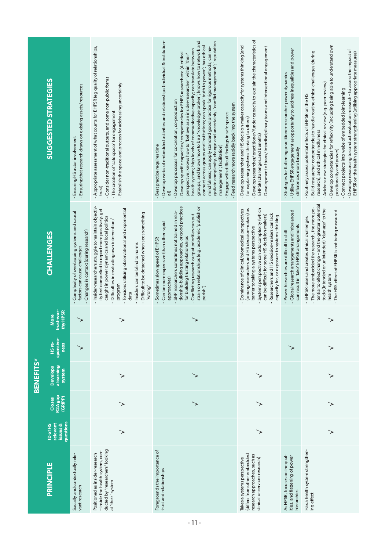|                                                                                                                               |                                                      |                              | <b>BENEFITS*</b>                        |                             |                                |                                                                                                                                                                                                                                                                                                                                                                       |                                                                                                                                                                                                                                                                                                                                                                                                                                                                                                                                                                                                                                                                                                                                                                                                                                                                                              |
|-------------------------------------------------------------------------------------------------------------------------------|------------------------------------------------------|------------------------------|-----------------------------------------|-----------------------------|--------------------------------|-----------------------------------------------------------------------------------------------------------------------------------------------------------------------------------------------------------------------------------------------------------------------------------------------------------------------------------------------------------------------|----------------------------------------------------------------------------------------------------------------------------------------------------------------------------------------------------------------------------------------------------------------------------------------------------------------------------------------------------------------------------------------------------------------------------------------------------------------------------------------------------------------------------------------------------------------------------------------------------------------------------------------------------------------------------------------------------------------------------------------------------------------------------------------------------------------------------------------------------------------------------------------------|
| <b>PRINCIPLE</b>                                                                                                              | questions<br>relevant<br>issues &<br><b>ID of HS</b> | R2A gap<br>(GRIPP)<br>Closes | a learning<br><b>Develops</b><br>system | sponsive-<br>HS re-<br>ness | trust-wor-<br>thy HPSR<br>More | CHALLENGES                                                                                                                                                                                                                                                                                                                                                            | <b>SUGGESTED STRATEGIES</b>                                                                                                                                                                                                                                                                                                                                                                                                                                                                                                                                                                                                                                                                                                                                                                                                                                                                  |
| Socially and contextually rele-<br>vantresearch                                                                               |                                                      |                              |                                         | $\check{~}$                 | $\!>\,$                        | Complexity of overlapping systems and causal<br>Changes in context (during research)<br>factors can cause challenges                                                                                                                                                                                                                                                  | Ensuring that research draws on existing assets/resources<br>Ensuring HS actor involvement                                                                                                                                                                                                                                                                                                                                                                                                                                                                                                                                                                                                                                                                                                                                                                                                   |
| ducted by 'researchers' looking<br>- inside the health system, con-<br>Positioned as insider-research<br>at 'their' system    | >                                                    |                              | $\!>\,$                                 |                             | ➢                              | Insider-researchers struggle to maintain objectiv-<br>ity feel compelled to report more positively, get<br>Tensions utilising observational and experiential<br>- Difficult to be detached when sees something<br>caught in power dynamics and local politics<br>Difficulties in evaluating own intervention/<br>Insiders can be blind to norms<br>program<br>'wrong' | Appropriate assessment of what counts for EHPSR (eg quality of relationships,<br>Consider non-traditional outputs, and some non-public forms<br>Establish the space and process for addressing uncertainty<br>- The creation of 'safe space' for engagement<br>trust)<br>$\mathbf{I}$                                                                                                                                                                                                                                                                                                                                                                                                                                                                                                                                                                                                        |
| Foregrounds the importance of<br>trust and relationships                                                                      |                                                      |                              | ↘                                       |                             | ➢                              | tionship-building approaches, or good practices<br>strain on relationships (e.g. academic 'publish or<br>SHP researchers sometimes not trained in rela-<br>Conflicting research output priorities can put<br>Can be more expensive (than other rapid<br>Sometimes slow speed of EHPSR<br>for building trusting relationships<br>approaches)<br>perish')               | Develop webs of embedded activities and relationships (individual & institution-<br>groups, and knows how to be a 'knowledge broker'; knows how to network and<br>gotiate complexity, change and uncertainty; 'conflict management'; 'reputation<br>connect across groups and institutions; can speak 'truth to power'; has ethical<br>mindfulness; can apply standard good practice for rigorous methods; can ne-<br>health system; high levels of communicative capacity; can translate between<br>- Develop specific capacities/competencies for EHPS researchers: (A critical<br>perspective; knows how to 'behave as an insider-researcher' within 'their'<br>- Develop processes for co-creation, co-production<br>Feed research more rapidly back into the system<br>Engage with difficult findings in safe spaces<br>Best practice requires time<br>management'; facilitation)<br>ਛੇ |
| research approaches, such as<br>(differs from other embedded<br>clinical or services research)<br>Takes a systems perspective |                                                      |                              | ↘                                       |                             |                                | (among researchers and HS decision-makers) as<br>Systems perspective can add complexity (which<br>Dominance of clinical/biomedical perspectives<br>Researchers and HS decision-makers can lack<br>can be difficult for some HS decision-makers)<br>capacity for, or exposure to systems thinking<br>barrier to taking a systems perspective                           | Develop researcher/practitioner/funder capacity to explain the characteristics of<br>Develop researcher and HS decision-maker capacity for systems thinking (and<br>Development of trans/interdisciplinary teams and intersectional engagement<br>for explaining systems thinking to others)<br>EHPSR (challenges and benefits)                                                                                                                                                                                                                                                                                                                                                                                                                                                                                                                                                              |
| As HPSR, focuses on inequal-<br>ities, and flattening of power<br>hierarchies                                                 |                                                      |                              |                                         | $\!>\,$                     |                                | - Global research arrangements and imbalanced<br>can result in 'fake' EHPSR arrangements<br>- Power hierarchies are difficult to shift                                                                                                                                                                                                                                | - Utilise EHPSR engagement as opportunity to address inequalities and power<br>Strategies for flattening practitioner-researcher power dynamics<br>differences more broadly<br>$\mathbf{r}$                                                                                                                                                                                                                                                                                                                                                                                                                                                                                                                                                                                                                                                                                                  |
| Has a health system strengthen-<br>ing effect                                                                                 | >                                                    |                              | >                                       | ↘                           | ➢                              | tential to effect change - and the greater potential<br>- The more embedded the research, the more po-<br>to do (intended or unintended) 'damage' to the<br>- The HSS effect of EHPSR is not being measured<br>EHPSR raises and creates ethical challenges<br>health system                                                                                           | Develop competencies for reflexivity (including being able to understand own<br>Develop resourcing to conduct evaluation research - to assess the impact of<br>Build researcher competencies to handle routine ethical challenges (during<br>EHPSR on the health system strengthening (utilising appropriate measures)<br>Address new strategies for ethical review (e.g. peer review)<br>Connect projects into webs of embedded joint-learning<br>Routinely assess potential effects of EHPSR on the HS<br>research), and ethical mindfulness<br>positionality and power)                                                                                                                                                                                                                                                                                                                   |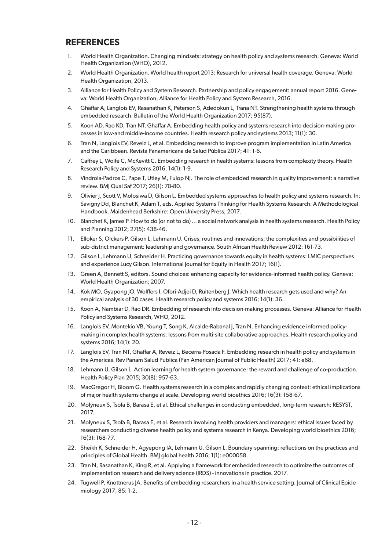## **REFERENCES**

- 1. World Health Organization. Changing mindsets: strategy on health policy and systems research. Geneva: World Health Organization (WHO), 2012.
- 2. World Health Organization. World health report 2013: Research for universal health coverage. Geneva: World Health Organization, 2013.
- 3. Alliance for Health Policy and System Research. Partnership and policy engagement: annual report 2016. Geneva: World Health Organization, Alliance for Health Policy and System Research, 2016.
- 4. Ghaffar A, Langlois EV, Rasanathan K, Peterson S, Adedokun L, Trana NT. Strengthening health systems through embedded research. Bulletin of the World Health Organization 2017; 95(87).
- 5. Koon AD, Rao KD, Tran NT, Ghaffar A. Embedding health policy and systems research into decision-making processes in low-and middle-income countries. Health research policy and systems 2013; 11(1): 30.
- 6. Tran N, Langlois EV, Reveiz L, et al. Embedding research to improve program implementation in Latin America and the Caribbean. Revista Panamericana de Salud Pública 2017; 41: 1-6.
- 7. Caffrey L, Wolfe C, McKevitt C. Embedding research in health systems: lessons from complexity theory. Health Research Policy and Systems 2016; 14(1): 1-9.
- 8. Vindrola-Padros C, Pape T, Utley M, Fulop NI, The role of embedded research in quality improvement: a narrative review. BMJ Qual Saf 2017; 26(1): 70-80.
- 9. Olivier J, Scott V, Molosiwa D, Gilson L. Embedded systems approaches to health policy and systems research. In: Savigny Dd, Blanchet K, Adam T, eds. Applied Systems Thinking for Health Systems Research: A Methodological Handbook. Maidenhead Berkshire: Open University Press; 2017.
- 10. Blanchet K, James P. How to do (or not to do)…a social network analysis in health systems research. Health Policy and Planning 2012; 27(5): 438-46.
- 11. Elloker S, Olckers P, Gilson L, Lehmann U. Crises, routines and innovations: the complexities and possibilities of sub-district management: leadership and governance. South African Health Review 2012: 161-73.
- 12. Gilson L, Lehmann U, Schneider H. Practicing governance towards equity in health systems: LMIC perspectives and experience Lucy Gilson. International Journal for Equity in Health 2017; 16(1).
- 13. Green A, Bennett S, editors. Sound choices: enhancing capacity for evidence-informed health policy. Geneva: World Health Organization; 2007.
- 14. Kok MO, Gyapong JO, Wolffers I, Ofori-Adjei D, Ruitenberg J. Which health research gets used and why? An empirical analysis of 30 cases. Health research policy and systems 2016; 14(1): 36.
- 15. Koon A, Nambiar D, Rao DR. Embedding of research into decision-making processes. Geneva: Alliance for Health Policy and Systems Research, WHO, 2012.
- 16. Langlois EV, Montekio VB, Young T, Song K, Alcalde-Rabanal J, Tran N. Enhancing evidence informed policymaking in complex health systems: lessons from multi-site collaborative approaches. Health research policy and systems 2016; 14(1): 20.
- 17. Langlois EV, Tran NT, Ghaffar A, Reveiz L, Becerra-Posada F. Embedding research in health policy and systems in the Americas. Rev Panam Salud Publica (Pan American Journal of Public Health) 2017; 41: e68.
- 18. Lehmann U, Gilson L. Action learning for health system governance: the reward and challenge of co-production. Health Policy Plan 2015; 30(8): 957-63.
- 19. MacGregor H, Bloom G. Health systems research in a complex and rapidly changing context: ethical implications of major health systems change at scale. Developing world bioethics 2016; 16(3): 158-67.
- 20. Molyneux S, Tsofa B, Barasa E, et al. Ethical challenges in conducting embedded, long-term research: RESYST, 2017.
- 21. Molyneux S, Tsofa B, Barasa E, et al. Research involving health providers and managers: ethical Issues faced by researchers conducting diverse health policy and systems research in Kenya. Developing world bioethics 2016; 16(3): 168-77.
- 22. Sheikh K, Schneider H, Agyepong IA, Lehmann U, Gilson L. Boundary-spanning: reflections on the practices and principles of Global Health. BMJ global health 2016; 1(1): e000058.
- 23. Tran N, Rasanathan K, King R, et al. Applying a framework for embedded research to optimize the outcomes of implementation research and delivery science (IRDS) - innovations in practice. 2017.
- 24. Tugwell P, Knottnerus JA. Benefits of embedding researchers in a health service setting. Journal of Clinical Epidemiology 2017; 85: 1-2.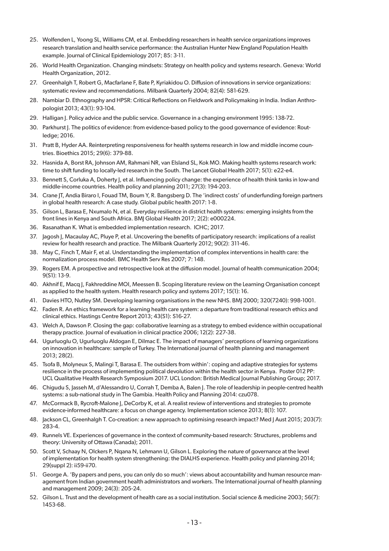- 25. Wolfenden L, Yoong SL, Williams CM, et al. Embedding researchers in health service organizations improves research translation and health service performance: the Australian Hunter New England Population Health example. Journal of Clinical Epidemiology 2017; 85: 3-11.
- 26. World Health Organization. Changing mindsets: Strategy on health policy and systems research. Geneva: World Health Organization, 2012.
- 27. Greenhalgh T, Robert G, Macfarlane F, Bate P, Kyriakidou O. Diffusion of innovations in service organizations: systematic review and recommendations. Milbank Quarterly 2004; 82(4): 581-629.
- 28. Nambiar D. Ethnography and HPSR: Critical Reflections on Fieldwork and Policymaking in India. Indian Anthropologist 2013; 43(1): 93-104.
- 29. Halligan J. Policy advice and the public service. Governance in a changing environment 1995: 138-72.
- 30. Parkhurst J. The politics of evidence: from evidence-based policy to the good governance of evidence: Routledge; 2016.
- 31. Pratt B, Hyder AA. Reinterpreting responsiveness for health systems research in low and middle income countries. Bioethics 2015; 29(6): 379-88.
- 32. Hasnida A, Borst RA, Johnson AM, Rahmani NR, van Elsland SL, Kok MO. Making health systems research work: time to shift funding to locally-led research in the South. The Lancet Global Health 2017; 5(1): e22-e4.
- 33. Bennett S, Corluka A, Doherty J, et al. Influencing policy change: the experience of health think tanks in low-and middle-income countries. Health policy and planning 2011; 27(3): 194-203.
- 34. Crane JT, Andia Biraro I, Fouad TM, Boum Y, R. Bangsberg D. The 'indirect costs' of underfunding foreign partners in global health research: A case study. Global public health 2017: 1-8.
- 35. Gilson L, Barasa E, Nxumalo N, et al. Everyday resilience in district health systems: emerging insights from the front lines in Kenya and South Africa. BMJ Global Health 2017; 2(2): e000224.
- 36. Rasanathan K. What is embedded implementation research. ICHC; 2017.
- 37. Jagosh J, Macaulay AC, Pluye P, et al. Uncovering the benefits of participatory research: implications of a realist review for health research and practice. The Milbank Quarterly 2012; 90(2): 311-46.
- 38. May C, Finch T, Mair F, et al. Understanding the implementation of complex interventions in health care: the normalization process model. BMC Health Serv Res 2007; 7: 148.
- 39. Rogers EM. A prospective and retrospective look at the diffusion model. Journal of health communication 2004; 9(S1): 13-9.
- 40. Akhnif E, Macq J, Fakhreddine MOI, Meessen B. Scoping literature review on the Learning Organisation concept as applied to the health system. Health research policy and systems 2017; 15(1): 16.
- 41. Davies HTO, Nutley SM. Developing learning organisations in the new NHS. BMJ 2000; 320(7240): 998-1001.
- 42. Faden R. An ethics framework for a learning health care system: a departure from traditional research ethics and clinical ethics. Hastings Centre Report 2013; 43(S1): S16-27.
- 43. Welch A, Dawson P. Closing the gap: collaborative learning as a strategy to embed evidence within occupational therapy practice. Journal of evaluation in clinical practice 2006; 12(2): 227-38.
- 44. Ugurluoglu O, Ugurluoglu Aldogan E, Dilmac E. The impact of managers' perceptions of learning organizations on innovation in healthcare: sample of Turkey. The International journal of health planning and management 2013; 28(2).
- 45. Tsofa B, Molyneux S, Malingi T, Barasa E. The outsiders from within': coping and adaptive strategies for systems resilience in the process of implementing political devolution within the health sector in Kenya. Poster 012 PP: UCL Qualitative Health Research Symposium 2017. UCL London: British Medical Journal Publishing Group; 2017.
- 46. Chigudu S, Jasseh M, d'Alessandro U, Corrah T, Demba A, Balen J. The role of leadership in people-centred health systems: a sub-national study in The Gambia. Health Policy and Planning 2014: czu078.
- 47. McCormack B, Rycroft-Malone J, DeCorby K, et al. A realist review of interventions and strategies to promote evidence-informed healthcare: a focus on change agency. Implementation science 2013; 8(1): 107.
- 48. Jackson CL, Greenhalgh T. Co-creation: a new approach to optimising research impact? Med J Aust 2015; 203(7): 283-4.
- 49. Runnels VE. Experiences of governance in the context of community-based research: Structures, problems and theory: University of Ottawa (Canada); 2011.
- 50. Scott V, Schaay N, Olckers P, Nqana N, Lehmann U, Gilson L. Exploring the nature of governance at the level of implementation for health system strengthening: the DIALHS experience. Health policy and planning 2014; 29(suppl 2): ii59-ii70.
- 51. George A. 'By papers and pens, you can only do so much': views about accountability and human resource management from Indian government health administrators and workers. The International journal of health planning and management 2009; 24(3): 205-24.
- 52. Gilson L. Trust and the development of health care as a social institution. Social science & medicine 2003; 56(7): 1453-68.